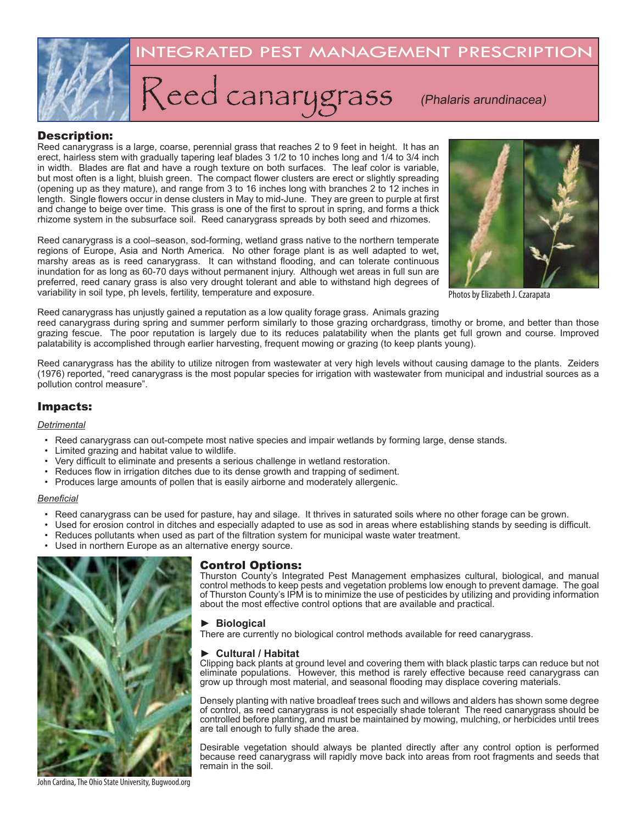

## Description:

Reed canarygrass is a large, coarse, perennial grass that reaches 2 to 9 feet in height. It has an erect, hairless stem with gradually tapering leaf blades 3 1/2 to 10 inches long and 1/4 to 3/4 inch in width. Blades are flat and have a rough texture on both surfaces. The leaf color is variable, but most often is a light, bluish green. The compact flower clusters are erect or slightly spreading (opening up as they mature), and range from 3 to 16 inches long with branches 2 to 12 inches in length. Single flowers occur in dense clusters in May to mid-June. They are green to purple at first and change to beige over time. This grass is one of the first to sprout in spring, and forms a thick rhizome system in the subsurface soil. Reed canarygrass spreads by both seed and rhizomes.

Reed canarygrass is a cool–season, sod-forming, wetland grass native to the northern temperate regions of Europe, Asia and North America. No other forage plant is as well adapted to wet, marshy areas as is reed canarygrass. It can withstand flooding, and can tolerate continuous inundation for as long as 60-70 days without permanent injury. Although wet areas in full sun are preferred, reed canary grass is also very drought tolerant and able to withstand high degrees of variability in soil type, ph levels, fertility, temperature and exposure.



Photos by Elizabeth J. Czarapata

Reed canarygrass has unjustly gained a reputation as a low quality forage grass. Animals grazing

reed canarygrass during spring and summer perform similarly to those grazing orchardgrass, timothy or brome, and better than those grazing fescue. The poor reputation is largely due to its reduces palatability when the plants get full grown and course. Improved palatability is accomplished through earlier harvesting, frequent mowing or grazing (to keep plants young).

Reed canarygrass has the ability to utilize nitrogen from wastewater at very high levels without causing damage to the plants. Zeiders (1976) reported, "reed canarygrass is the most popular species for irrigation with wastewater from municipal and industrial sources as a pollution control measure".

# Impacts:

#### *Detrimental*

- Reed canarygrass can out-compete most native species and impair wetlands by forming large, dense stands.
- Limited grazing and habitat value to wildlife.
- Very difficult to eliminate and presents a serious challenge in wetland restoration.
- Reduces flow in irrigation ditches due to its dense growth and trapping of sediment.
- Produces large amounts of pollen that is easily airborne and moderately allergenic.

#### *Beneficial*

- Reed canarygrass can be used for pasture, hay and silage. It thrives in saturated soils where no other forage can be grown.
- Used for erosion control in ditches and especially adapted to use as sod in areas where establishing stands by seeding is difficult.
- Reduces pollutants when used as part of the filtration system for municipal waste water treatment.
- Used in northern Europe as an alternative energy source.



## Control Options:

Thurston County's Integrated Pest Management emphasizes cultural, biological, and manual control methods to keep pests and vegetation problems low enough to prevent damage. The goal of Thurston County's IPM is to minimize the use of pesticides by utilizing and providing information about the most effective control options that are available and practical.

### ► **Biological**

There are currently no biological control methods available for reed canarygrass.

#### ► **Cultural / Habitat**

Clipping back plants at ground level and covering them with black plastic tarps can reduce but not eliminate populations. However, this method is rarely effective because reed canarygrass can grow up through most material, and seasonal flooding may displace covering materials.

Densely planting with native broadleaf trees such and willows and alders has shown some degree of control, as reed canarygrass is not especially shade tolerant The reed canarygrass should be controlled before planting, and must be maintained by mowing, mulching, or herbicides until trees are tall enough to fully shade the area.

Desirable vegetation should always be planted directly after any control option is performed because reed canarygrass will rapidly move back into areas from root fragments and seeds that remain in the soil.

John Cardina, The Ohio State University, Bugwood.org